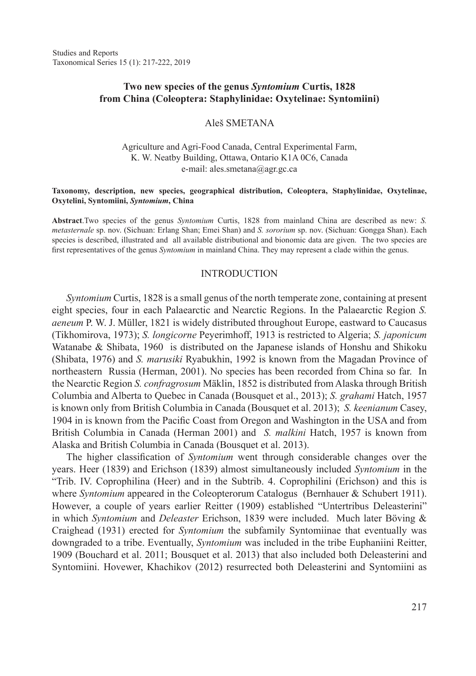Studies and Reports Taxonomical Series 15 (1): 217-222, 2019

# **Two new species of the genus** *Syntomium* **Curtis, 1828 from China (Coleoptera: Staphylinidae: Oxytelinae: Syntomiini)**

#### Aleš SMETANA

### Agriculture and Agri-Food Canada, Central Experimental Farm, K. W. Neatby Building, Ottawa, Ontario K1A 0C6, Canada e-mail: ales.smetana@agr.gc.ca

#### **Taxonomy, description, new species, geographical distribution, Coleoptera, Staphylinidae, Oxytelinae, Oxytelini, Syntomiini,** *Syntomium***, China**

**Abstract**.Two species of the genus *Syntomium* Curtis, 1828 from mainland China are described as new: *S. metasternale* sp. nov. (Sichuan: Erlang Shan; Emei Shan) and *S. sororium* sp. nov. (Sichuan: Gongga Shan). Each species is described, illustrated and all available distributional and bionomic data are given. The two species are first representatives of the genus *Syntomium* in mainland China. They may represent a clade within the genus.

#### INTRODUCTION

*Syntomium* Curtis, 1828 is a small genus of the north temperate zone, containing at present eight species, four in each Palaearctic and Nearctic Regions. In the Palaearctic Region *S. aeneum* P. W. J. Müller, 1821 is widely distributed throughout Europe, eastward to Caucasus (Tikhomirova, 1973); *S. longicorne* Peyerimhoff, 1913 is restricted to Algeria; *S. japonicum*  Watanabe & Shibata, 1960 is distributed on the Japanese islands of Honshu and Shikoku (Shibata, 1976) and *S. marusiki* Ryabukhin, 1992 is known from the Magadan Province of northeastern Russia (Herman, 2001). No species has been recorded from China so far. In the Nearctic Region *S. confragrosum* Mäklin, 1852 is distributed from Alaska through British Columbia and Alberta to Quebec in Canada (Bousquet et al., 2013); *S. grahami* Hatch, 1957 is known only from British Columbia in Canada (Bousquet et al. 2013); *S. keenianum* Casey, 1904 in is known from the Pacific Coast from Oregon and Washington in the USA and from British Columbia in Canada (Herman 2001) and *S. malkini* Hatch, 1957 is known from Alaska and British Columbia in Canada (Bousquet et al. 2013).

The higher classification of *Syntomium* went through considerable changes over the years. Heer (1839) and Erichson (1839) almost simultaneously included *Syntomium* in the "Trib. IV. Coprophilina (Heer) and in the Subtrib. 4. Coprophilini (Erichson) and this is where *Syntomium* appeared in the Coleopterorum Catalogus (Bernhauer & Schubert 1911). However, a couple of years earlier Reitter (1909) established "Untertribus Deleasterini" in which *Syntomium* and *Deleaster* Erichson, 1839 were included. Much later Böving & Craighead (1931) erected for *Syntomium* the subfamily Syntomiinae that eventually was downgraded to a tribe. Eventually, *Syntomium* was included in the tribe Euphaniini Reitter, 1909 (Bouchard et al. 2011; Bousquet et al. 2013) that also included both Deleasterini and Syntomiini. Hovewer, Khachikov (2012) resurrected both Deleasterini and Syntomiini as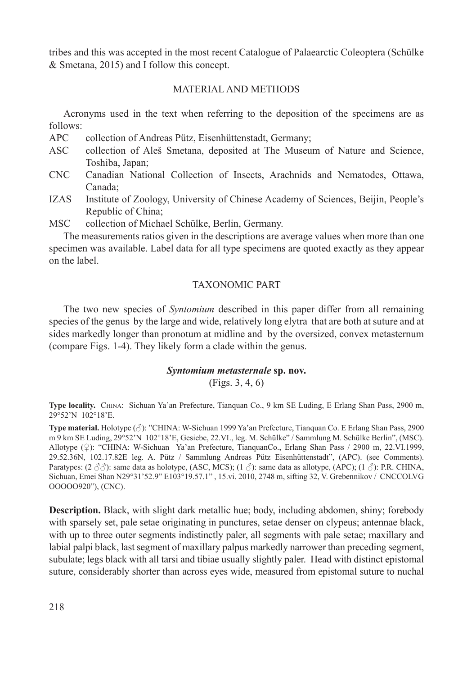tribes and this was accepted in the most recent Catalogue of Palaearctic Coleoptera (Schülke & Smetana, 2015) and I follow this concept.

# MATERIAL AND METHODS

Acronyms used in the text when referring to the deposition of the specimens are as follows:<br>APC

collection of Andreas Pütz, Eisenhüttenstadt, Germany;

- ASC collection of Aleš Smetana, deposited at The Museum of Nature and Science, Toshiba, Japan;
- CNC Canadian National Collection of Insects, Arachnids and Nematodes, Ottawa, Canada;
- IZAS Institute of Zoology, University of Chinese Academy of Sciences, Beijin, People's Republic of China;

MSC collection of Michael Schülke, Berlin, Germany.

The measurements ratios given in the descriptions are average values when more than one specimen was available. Label data for all type specimens are quoted exactly as they appear on the label.

# TAXONOMIC PART

The two new species of *Syntomium* described in this paper differ from all remaining species of the genus by the large and wide, relatively long elytra that are both at suture and at sides markedly longer than pronotum at midline and by the oversized, convex metasternum (compare Figs. 1-4). They likely form a clade within the genus.

# *Syntomium metasternale* **sp. nov.**

(Figs. 3, 4, 6)

**Type locality.** China: Sichuan Ya'an Prefecture, Tianquan Co., 9 km SE Luding, E Erlang Shan Pass, 2900 m, 29°52'N 102°18'E.

**Type material.** Holotype (♂): "CHINA: W-Sichuan 1999 Ya'an Prefecture, Tianquan Co. E Erlang Shan Pass, 2900 m 9 km SE Luding, 29°52'N 102°18'E, Gesiebe, 22.VI., leg. M. Schülke" / Sammlung M. Schülke Berlin", (MSC). Allotype (♀): "CHINA: W-Sichuan Ya'an Prefecture, TianquanCo., Erlang Shan Pass / 2900 m, 22.VI.1999, 29.52.36N, 102.17.82E leg. A. Pütz / Sammlung Andreas Pütz Eisenhüttenstadt", (APC). (see Comments). Paratypes:  $(2 \text{ } \mathcal{S} \mathcal{S})$ : same data as holotype, (ASC, MCS);  $(1 \text{ } \mathcal{S})$ : same data as allotype, (APC);  $(1 \text{ } \mathcal{S})$ : P.R. CHINA, Sichuan, Emei Shan N29°31'52.9" E103°19.57.1" , 15.vi. 2010, 2748 m, sifting 32, V. Grebennikov / CNCCOLVG OOOOO920"), (CNC).

**Description.** Black, with slight dark metallic hue; body, including abdomen, shiny; forebody with sparsely set, pale setae originating in punctures, setae denser on clypeus; antennae black, with up to three outer segments indistinctly paler, all segments with pale setae; maxillary and labial palpi black, last segment of maxillary palpus markedly narrower than preceding segment, subulate; legs black with all tarsi and tibiae usually slightly paler. Head with distinct epistomal suture, considerably shorter than across eyes wide, measured from epistomal suture to nuchal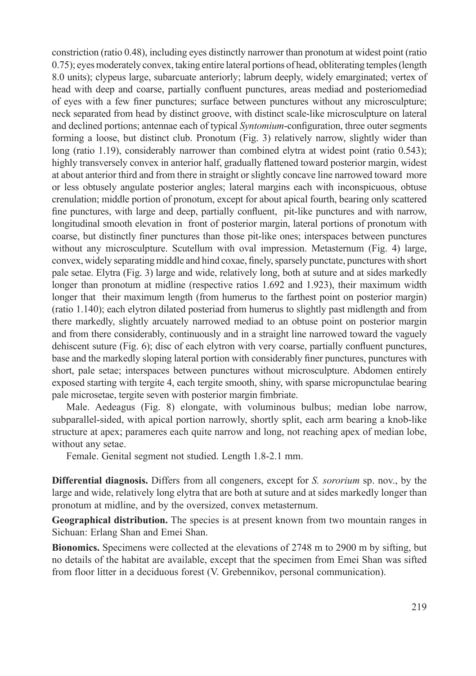constriction (ratio 0.48), including eyes distinctly narrower than pronotum at widest point (ratio 0.75); eyes moderately convex, taking entire lateral portions of head, obliterating temples (length 8.0 units); clypeus large, subarcuate anteriorly; labrum deeply, widely emarginated; vertex of head with deep and coarse, partially confluent punctures, areas mediad and posteriomediad of eyes with a few finer punctures; surface between punctures without any microsculpture; neck separated from head by distinct groove, with distinct scale-like microsculpture on lateral and declined portions; antennae each of typical *Syntomium*-configuration, three outer segments forming a loose, but distinct club. Pronotum (Fig. 3) relatively narrow, slightly wider than long (ratio 1.19), considerably narrower than combined elytra at widest point (ratio 0.543); highly transversely convex in anterior half, gradually flattened toward posterior margin, widest at about anterior third and from there in straight or slightly concave line narrowed toward more or less obtusely angulate posterior angles; lateral margins each with inconspicuous, obtuse crenulation; middle portion of pronotum, except for about apical fourth, bearing only scattered fine punctures, with large and deep, partially confluent, pit-like punctures and with narrow, longitudinal smooth elevation in front of posterior margin, lateral portions of pronotum with coarse, but distinctly finer punctures than those pit-like ones; interspaces between punctures without any microsculpture. Scutellum with oval impression. Metasternum (Fig. 4) large, convex, widely separating middle and hind coxae, finely, sparsely punctate, punctures with short pale setae. Elytra (Fig. 3) large and wide, relatively long, both at suture and at sides markedly longer than pronotum at midline (respective ratios 1.692 and 1.923), their maximum width longer that their maximum length (from humerus to the farthest point on posterior margin) (ratio 1.140); each elytron dilated posteriad from humerus to slightly past midlength and from there markedly, slightly arcuately narrowed mediad to an obtuse point on posterior margin and from there considerably, continuously and in a straight line narrowed toward the vaguely dehiscent suture (Fig. 6); disc of each elytron with very coarse, partially confluent punctures, base and the markedly sloping lateral portion with considerably finer punctures, punctures with short, pale setae; interspaces between punctures without microsculpture. Abdomen entirely exposed starting with tergite 4, each tergite smooth, shiny, with sparse micropunctulae bearing pale microsetae, tergite seven with posterior margin fimbriate.

Male. Aedeagus (Fig. 8) elongate, with voluminous bulbus; median lobe narrow, subparallel-sided, with apical portion narrowly, shortly split, each arm bearing a knob-like structure at apex; parameres each quite narrow and long, not reaching apex of median lobe, without any setae.

Female. Genital segment not studied. Length 1.8-2.1 mm.

**Differential diagnosis.** Differs from all congeners, except for *S. sororium* sp. nov., by the large and wide, relatively long elytra that are both at suture and at sides markedly longer than pronotum at midline, and by the oversized, convex metasternum.

**Geographical distribution.** The species is at present known from two mountain ranges in Sichuan: Erlang Shan and Emei Shan.

**Bionomics.** Specimens were collected at the elevations of 2748 m to 2900 m by sifting, but no details of the habitat are available, except that the specimen from Emei Shan was sifted from floor litter in a deciduous forest (V. Grebennikov, personal communication).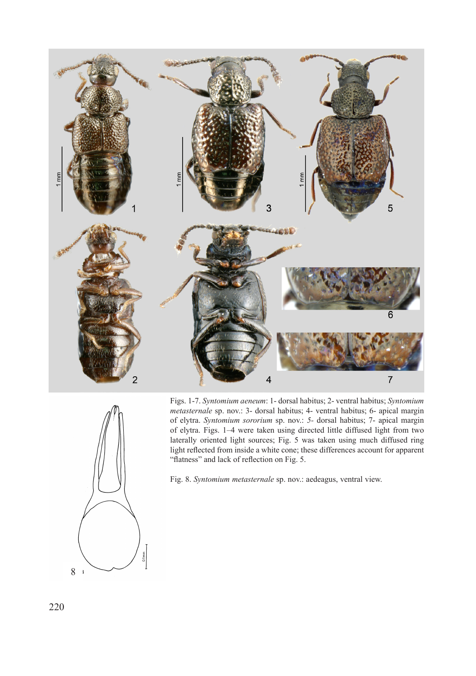

8

Figs. 1-7. *Syntomium aeneum*: 1- dorsal habitus; 2- ventral habitus; *Syntomium metasternale* sp. nov.: 3- dorsal habitus; 4- ventral habitus; 6- apical margin of elytra. *Syntomium sororium* sp. nov.: *5-* dorsal habitus; 7- apical margin of elytra. Figs. 1–4 were taken using directed little diffused light from two laterally oriented light sources; Fig. 5 was taken using much diffused ring light reflected from inside a white cone; these differences account for apparent "flatness" and lack of reflection on Fig. 5.

Fig. 8. *Syntomium metasternale* sp. nov.: aedeagus, ventral view.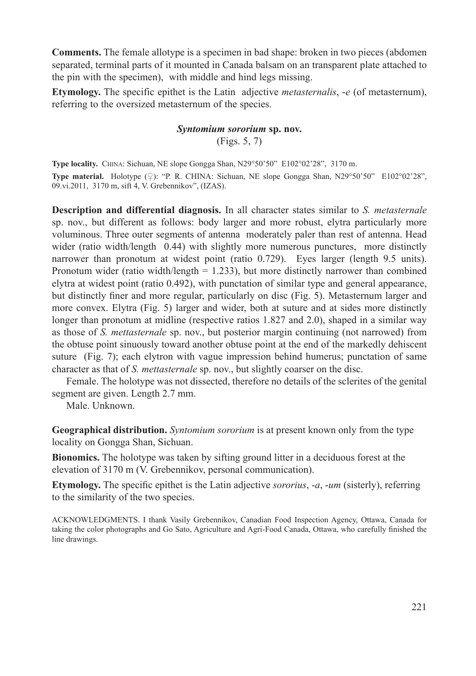**Comments.** The female allotype is a specimen in bad shape: broken in two pieces (abdomen separated, terminal parts of it mounted in Canada balsam on an transparent plate attached to the pin with the specimen), with middle and hind legs missing.

**Etymology.** The specific epithet is the Latin adjective *metasternalis*, -*e* (of metasternum), referring to the oversized metasternum of the species.

# *Syntomium sororium* **sp. nov.** (Figs. 5, 7)

**Type locality.** China: Sichuan, NE slope Gongga Shan, N29°50'50" E102°02'28", 3170 m. **Type material.** Holotype (♀): "P. R. CHINA: Sichuan, NE slope Gongga Shan, N29°50'50" E102°02'28", 09.vi.2011, 3170 m, sift 4, V. Grebennikov", (IZAS).

**Description and differential diagnosis.** In all character states similar to *S. metasternale* sp. nov., but different as follows: body larger and more robust, elytra particularly more voluminous. Three outer segments of antenna moderately paler than rest of antenna. Head wider (ratio width/length 0.44) with slightly more numerous punctures, more distinctly narrower than pronotum at widest point (ratio 0.729). Eyes larger (length 9.5 units). Pronotum wider (ratio width/length  $= 1.233$ ), but more distinctly narrower than combined elytra at widest point (ratio 0.492), with punctation of similar type and general appearance, but distinctly finer and more regular, particularly on disc (Fig. 5). Metasternum larger and more convex. Elytra (Fig. 5) larger and wider, both at suture and at sides more distinctly longer than pronotum at midline (respective ratios 1.827 and 2.0), shaped in a similar way as those of *S. mettasternale* sp. nov., but posterior margin continuing (not narrowed) from the obtuse point sinuously toward another obtuse point at the end of the markedly dehiscent suture (Fig. 7); each elytron with vague impression behind humerus; punctation of same character as that of *S. mettasternale* sp. nov., but slightly coarser on the disc.

Female. The holotype was not dissected, therefore no details of the sclerites of the genital segment are given. Length 2.7 mm.

Male. Unknown.

**Geographical distribution.** *Syntomium sororium* is at present known only from the type locality on Gongga Shan, Sichuan.

**Bionomics.** The holotype was taken by sifting ground litter in a deciduous forest at the elevation of 3170 m (V. Grebennikov, personal communication).

**Etymology.** The specific epithet is the Latin adjective *sororius*, -*a*, -*um* (sisterly), referring to the similarity of the two species.

ACKNOWLEDGMENTS. I thank Vasily Grebennikov, Canadian Food Inspection Agency, Ottawa, Canada for taking the color photographs and Go Sato, Agriculture and Agri-Food Canada, Ottawa, who carefully finished the line drawings.